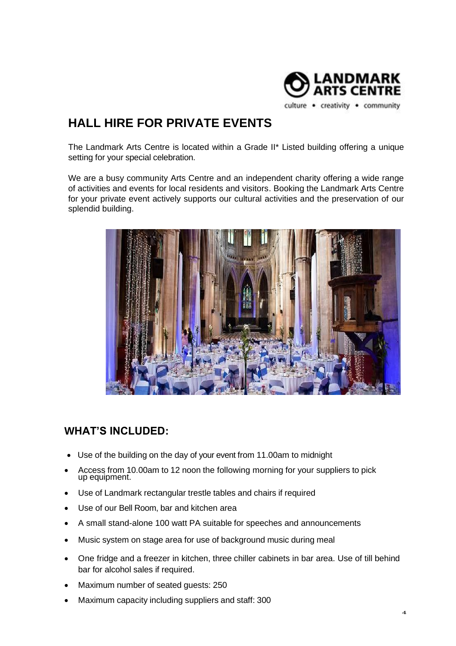

**HALL HIRE FOR PRIVATE EVENTS** 

The Landmark Arts Centre is located within a Grade II\* Listed building offering a unique setting for your special celebration.

We are a busy community Arts Centre and an independent charity offering a wide range of activities and events for local residents and visitors. Booking the Landmark Arts Centre for your private event actively supports our cultural activities and the preservation of our splendid building.



### **WHAT'S INCLUDED:**

- Use of the building on the day of your event from 11.00am to midnight
- Access from 10.00am to 12 noon the following morning for your suppliers to pick up equipment.
- Use of Landmark rectangular trestle tables and chairs if required
- Use of our Bell Room, bar and kitchen area
- A small stand-alone 100 watt PA suitable for speeches and announcements
- Music system on stage area for use of background music during meal
- One fridge and a freezer in kitchen, three chiller cabinets in bar area. Use of till behind bar for alcohol sales if required.
- Maximum number of seated guests: 250
- Maximum capacity including suppliers and staff: 300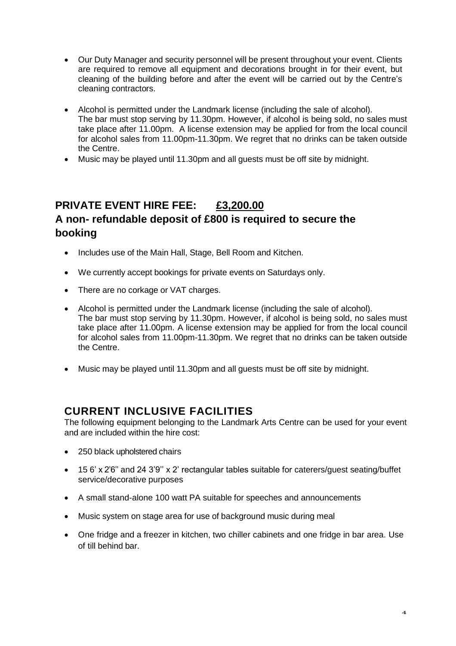- Our Duty Manager and security personnel will be present throughout your event. Clients are required to remove all equipment and decorations brought in for their event, but cleaning of the building before and after the event will be carried out by the Centre's cleaning contractors.
- Alcohol is permitted under the Landmark license (including the sale of alcohol). The bar must stop serving by 11.30pm. However, if alcohol is being sold, no sales must take place after 11.00pm. A license extension may be applied for from the local council for alcohol sales from 11.00pm-11.30pm. We regret that no drinks can be taken outside the Centre.
- Music may be played until 11.30pm and all guests must be off site by midnight.

# **PRIVATE EVENT HIRE FEE: £3,200.00 A non- refundable deposit of £800 is required to secure the booking**

- Includes use of the Main Hall, Stage, Bell Room and Kitchen.
- We currently accept bookings for private events on Saturdays only.
- There are no corkage or VAT charges.
- Alcohol is permitted under the Landmark license (including the sale of alcohol). The bar must stop serving by 11.30pm. However, if alcohol is being sold, no sales must take place after 11.00pm. A license extension may be applied for from the local council for alcohol sales from 11.00pm-11.30pm. We regret that no drinks can be taken outside the Centre.
- Music may be played until 11.30pm and all guests must be off site by midnight.

### **CURRENT INCLUSIVE FACILITIES**

The following equipment belonging to the Landmark Arts Centre can be used for your event and are included within the hire cost:

- 250 black upholstered chairs
- 15 6' x 2'6'' and 24 3'9'' x 2' rectangular tables suitable for caterers/guest seating/buffet service/decorative purposes
- A small stand-alone 100 watt PA suitable for speeches and announcements
- Music system on stage area for use of background music during meal
- One fridge and a freezer in kitchen, two chiller cabinets and one fridge in bar area. Use of till behind bar.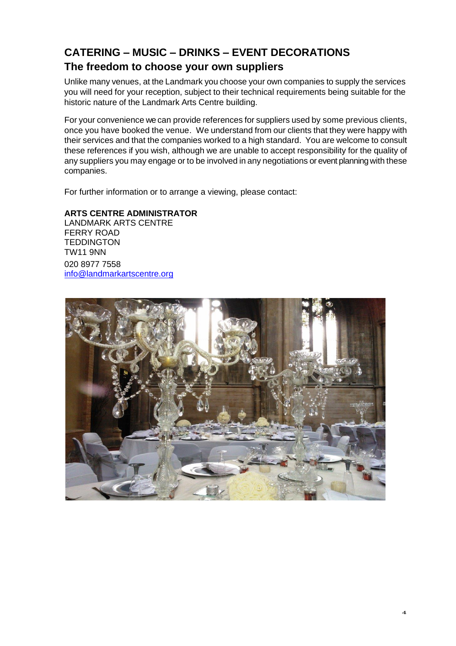# **CATERING – MUSIC – DRINKS – EVENT DECORATIONS The freedom to choose your own suppliers**

Unlike many venues, at the Landmark you choose your own companies to supply the services you will need for your reception, subject to their technical requirements being suitable for the historic nature of the Landmark Arts Centre building.

For your convenience we can provide references for suppliers used by some previous clients, once you have booked the venue. We understand from our clients that they were happy with their services and that the companies worked to a high standard. You are welcome to consult these references if you wish, although we are unable to accept responsibility for the quality of any suppliers you may engage or to be involved in any negotiations or event planning with these companies.

For further information or to arrange a viewing, please contact:

#### **ARTS CENTRE ADMINISTRATOR**

LANDMARK ARTS CENTRE FERRY ROAD **TEDDINGTON** TW11 9NN 020 8977 7558 [info@landmarkartscentre.org](mailto:info@landmarkartscentre.org)

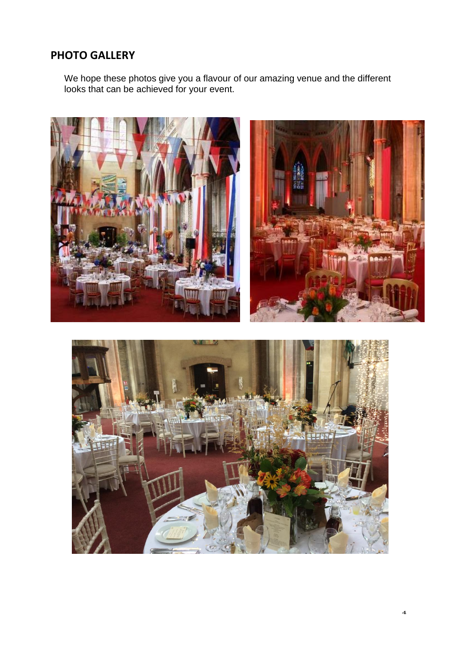## **PHOTO GALLERY**

We hope these photos give you a flavour of our amazing venue and the different looks that can be achieved for your event.